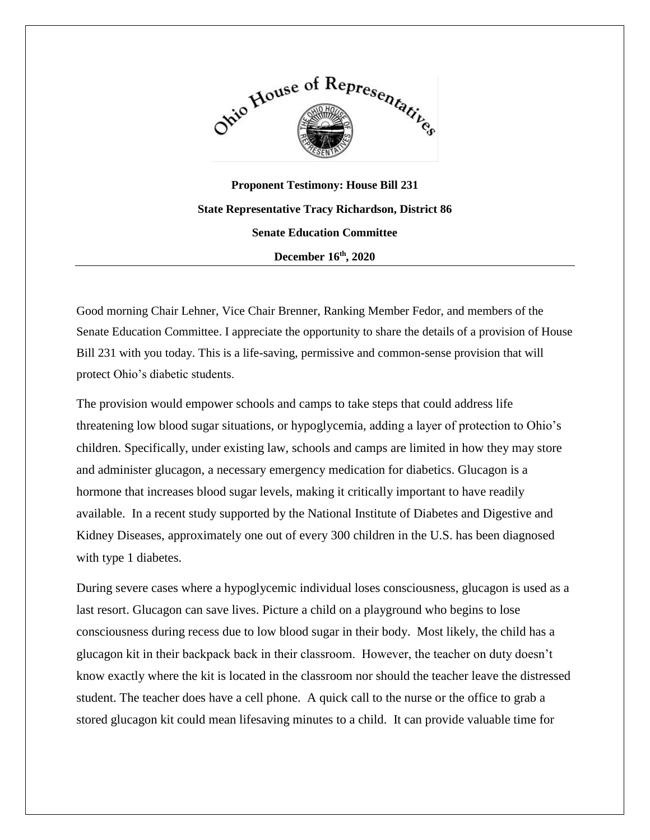

**Proponent Testimony: House Bill 231 State Representative Tracy Richardson, District 86 Senate Education Committee December 16th, 2020**

Good morning Chair Lehner, Vice Chair Brenner, Ranking Member Fedor, and members of the Senate Education Committee. I appreciate the opportunity to share the details of a provision of House Bill 231 with you today. This is a life-saving, permissive and common-sense provision that will protect Ohio's diabetic students.

The provision would empower schools and camps to take steps that could address life threatening low blood sugar situations, or hypoglycemia, adding a layer of protection to Ohio's children. Specifically, under existing law, schools and camps are limited in how they may store and administer glucagon, a necessary emergency medication for diabetics. Glucagon is a hormone that increases blood sugar levels, making it critically important to have readily available. In a recent study supported by the National Institute of Diabetes and Digestive and Kidney Diseases, approximately one out of every 300 children in the U.S. has been diagnosed with type 1 diabetes.

During severe cases where a hypoglycemic individual loses consciousness, glucagon is used as a last resort. Glucagon can save lives. Picture a child on a playground who begins to lose consciousness during recess due to low blood sugar in their body. Most likely, the child has a glucagon kit in their backpack back in their classroom. However, the teacher on duty doesn't know exactly where the kit is located in the classroom nor should the teacher leave the distressed student. The teacher does have a cell phone. A quick call to the nurse or the office to grab a stored glucagon kit could mean lifesaving minutes to a child. It can provide valuable time for